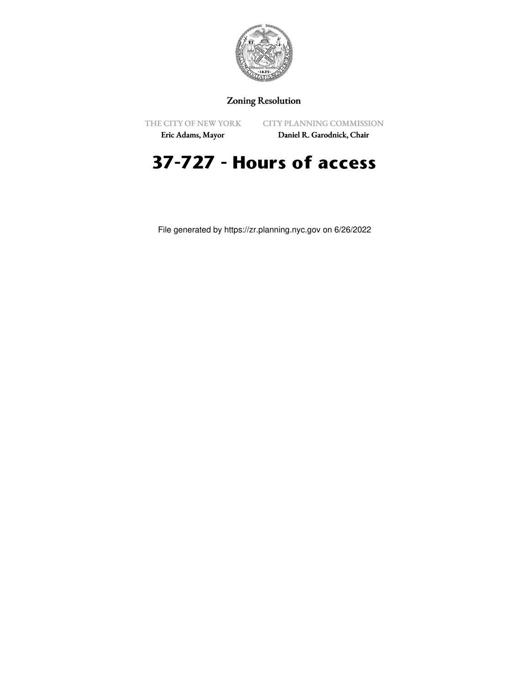

## Zoning Resolution

THE CITY OF NEW YORK

CITY PLANNING COMMISSION

Eric Adams, Mayor

Daniel R. Garodnick, Chair

## **37-727 - Hours of access**

File generated by https://zr.planning.nyc.gov on 6/26/2022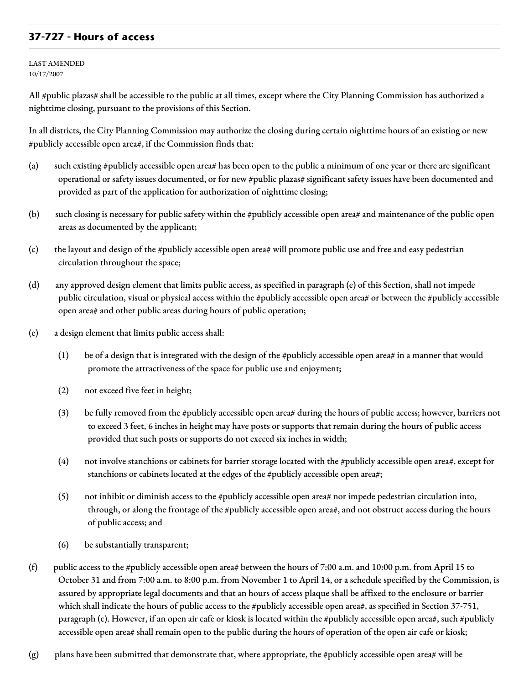## **37-727 - Hours of access**

LAST AMENDED 10/17/2007

All #public plazas# shall be accessible to the public at all times, except where the City Planning Commission has authorized a nighttime closing, pursuant to the provisions of this Section.

In all districts, the City Planning Commission may authorize the closing during certain nighttime hours of an existing or new #publicly accessible open area#, if the Commission finds that:

- (a) such existing #publicly accessible open area# has been open to the public a minimum of one year or there are significant operational or safety issues documented, or for new #public plazas# significant safety issues have been documented and provided as part of the application for authorization of nighttime closing;
- (b) such closing is necessary for public safety within the #publicly accessible open area# and maintenance of the public open areas as documented by the applicant;
- (c) the layout and design of the #publicly accessible open area# will promote public use and free and easy pedestrian circulation throughout the space;
- (d) any approved design element that limits public access, as specified in paragraph (e) of this Section, shall not impede public circulation, visual or physical access within the #publicly accessible open area# or between the #publicly accessible open area# and other public areas during hours of public operation;
- (e) a design element that limits public access shall:
	- (1) be of a design that is integrated with the design of the #publicly accessible open area# in a manner that would promote the attractiveness of the space for public use and enjoyment;
	- (2) not exceed five feet in height;
	- (3) be fully removed from the #publicly accessible open area# during the hours of public access; however, barriers not to exceed 3 feet, 6 inches in height may have posts or supports that remain during the hours of public access provided that such posts or supports do not exceed six inches in width;
	- (4) not involve stanchions or cabinets for barrier storage located with the #publicly accessible open area#, except for stanchions or cabinets located at the edges of the #publicly accessible open area#;
	- (5) not inhibit or diminish access to the #publicly accessible open area# nor impede pedestrian circulation into, through, or along the frontage of the #publicly accessible open area#, and not obstruct access during the hours of public access; and
	- (6) be substantially transparent;
- (f) public access to the #publicly accessible open area# between the hours of 7:00 a.m. and 10:00 p.m. from April 15 to October 31 and from 7:00 a.m. to 8:00 p.m. from November 1 to April 14, or a schedule specified by the Commission, is assured by appropriate legal documents and that an hours of access plaque shall be affixed to the enclosure or barrier which shall indicate the hours of public access to the #publicly accessible open area#, as specified in Section 37-751, paragraph (c). However, if an open air cafe or kiosk is located within the #publicly accessible open area#, such #publicly accessible open area# shall remain open to the public during the hours of operation of the open air cafe or kiosk;
- $(g)$  plans have been submitted that demonstrate that, where appropriate, the #publicly accessible open area# will be